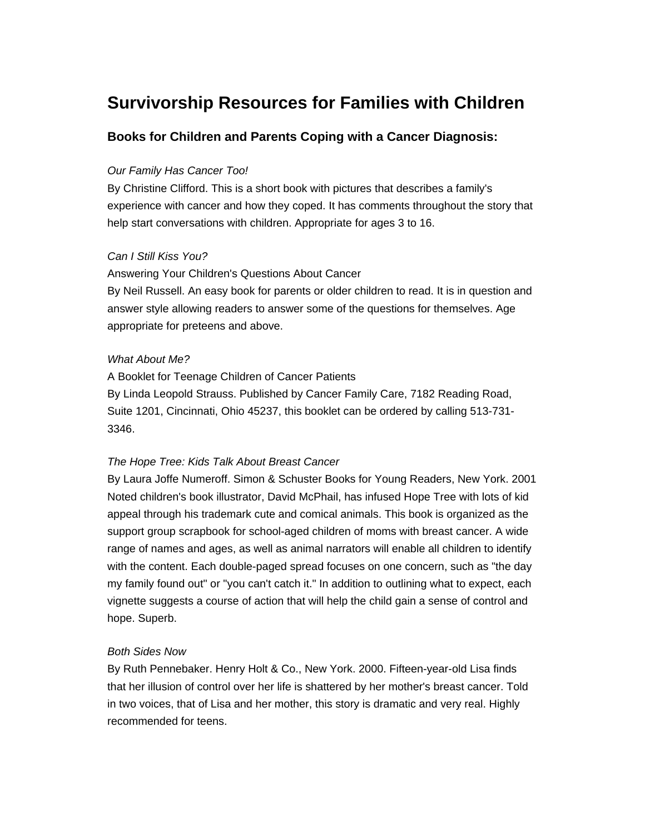# **Survivorship Resources for Families with Children**

# **Books for Children and Parents Coping with a Cancer Diagnosis:**

#### *Our Family Has Cancer Too!*

By Christine Clifford. This is a short book with pictures that describes a family's experience with cancer and how they coped. It has comments throughout the story that help start conversations with children. Appropriate for ages 3 to 16.

#### *Can I Still Kiss You?*

Answering Your Children's Questions About Cancer

By Neil Russell. An easy book for parents or older children to read. It is in question and answer style allowing readers to answer some of the questions for themselves. Age appropriate for preteens and above.

#### *What About Me?*

A Booklet for Teenage Children of Cancer Patients By Linda Leopold Strauss. Published by Cancer Family Care, 7182 Reading Road, Suite 1201, Cincinnati, Ohio 45237, this booklet can be ordered by calling 513-731- 3346.

#### *The Hope Tree: Kids Talk About Breast Cancer*

By Laura Joffe Numeroff. Simon & Schuster Books for Young Readers, New York. 2001 Noted children's book illustrator, David McPhail, has infused Hope Tree with lots of kid appeal through his trademark cute and comical animals. This book is organized as the support group scrapbook for school-aged children of moms with breast cancer. A wide range of names and ages, as well as animal narrators will enable all children to identify with the content. Each double-paged spread focuses on one concern, such as "the day my family found out" or "you can't catch it." In addition to outlining what to expect, each vignette suggests a course of action that will help the child gain a sense of control and hope. Superb.

#### *Both Sides Now*

By Ruth Pennebaker. Henry Holt & Co., New York. 2000. Fifteen-year-old Lisa finds that her illusion of control over her life is shattered by her mother's breast cancer. Told in two voices, that of Lisa and her mother, this story is dramatic and very real. Highly recommended for teens.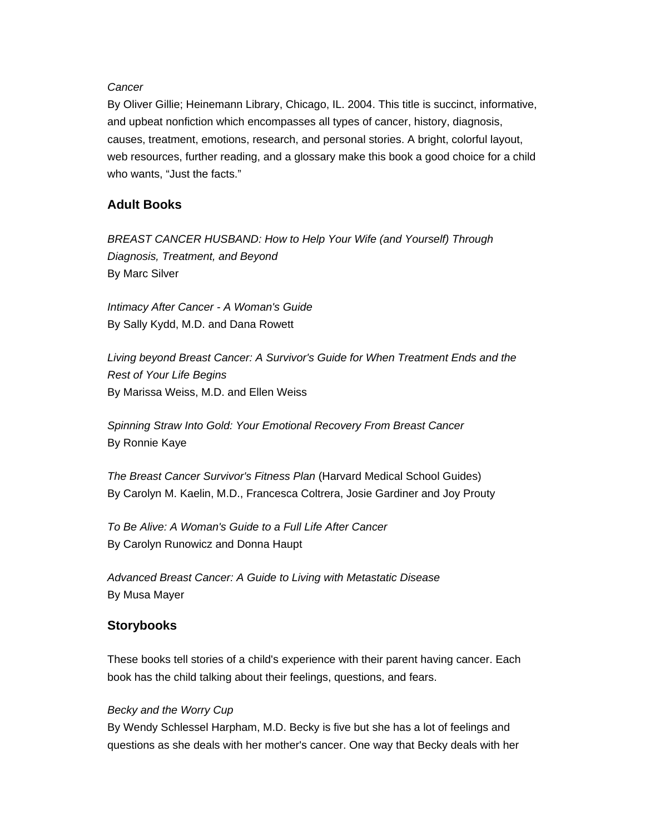#### *Cancer*

By Oliver Gillie; Heinemann Library, Chicago, IL. 2004. This title is succinct, informative, and upbeat nonfiction which encompasses all types of cancer, history, diagnosis, causes, treatment, emotions, research, and personal stories. A bright, colorful layout, web resources, further reading, and a glossary make this book a good choice for a child who wants, "Just the facts."

## **Adult Books**

*BREAST CANCER HUSBAND: How to Help Your Wife (and Yourself) Through Diagnosis, Treatment, and Beyond* By Marc Silver

*Intimacy After Cancer - A Woman's Guide*  By Sally Kydd, M.D. and Dana Rowett

*Living beyond Breast Cancer: A Survivor's Guide for When Treatment Ends and the Rest of Your Life Begins* By Marissa Weiss, M.D. and Ellen Weiss

*Spinning Straw Into Gold: Your Emotional Recovery From Breast Cancer* By Ronnie Kaye

*The Breast Cancer Survivor's Fitness Plan* (Harvard Medical School Guides) By Carolyn M. Kaelin, M.D., Francesca Coltrera, Josie Gardiner and Joy Prouty

*To Be Alive: A Woman's Guide to a Full Life After Cancer* By Carolyn Runowicz and Donna Haupt

*Advanced Breast Cancer: A Guide to Living with Metastatic Disease* By Musa Mayer

## **Storybooks**

These books tell stories of a child's experience with their parent having cancer. Each book has the child talking about their feelings, questions, and fears.

#### *Becky and the Worry Cup*

By Wendy Schlessel Harpham, M.D. Becky is five but she has a lot of feelings and questions as she deals with her mother's cancer. One way that Becky deals with her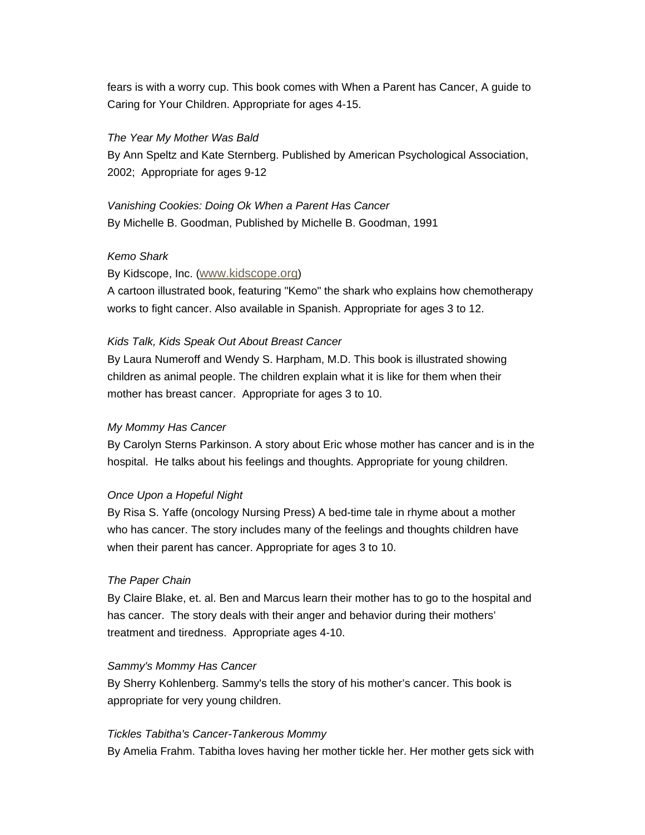fears is with a worry cup. This book comes with When a Parent has Cancer, A guide to Caring for Your Children. Appropriate for ages 4-15.

*The Year My Mother Was Bald*  By Ann Speltz and Kate Sternberg. Published by American Psychological Association, 2002; Appropriate for ages 9-12

*Vanishing Cookies: Doing Ok When a Parent Has Cancer* By Michelle B. Goodman, Published by Michelle B. Goodman, 1991

#### *Kemo Shark*

By Kidscope, Inc. (www.kidscope.org)

A cartoon illustrated book, featuring "Kemo" the shark who explains how chemotherapy works to fight cancer. Also available in Spanish. Appropriate for ages 3 to 12.

#### *Kids Talk, Kids Speak Out About Breast Cancer*

By Laura Numeroff and Wendy S. Harpham, M.D. This book is illustrated showing children as animal people. The children explain what it is like for them when their mother has breast cancer. Appropriate for ages 3 to 10.

#### *My Mommy Has Cancer*

By Carolyn Sterns Parkinson. A story about Eric whose mother has cancer and is in the hospital. He talks about his feelings and thoughts. Appropriate for young children.

#### *Once Upon a Hopeful Night*

By Risa S. Yaffe (oncology Nursing Press) A bed-time tale in rhyme about a mother who has cancer. The story includes many of the feelings and thoughts children have when their parent has cancer. Appropriate for ages 3 to 10.

#### *The Paper Chain*

By Claire Blake, et. al. Ben and Marcus learn their mother has to go to the hospital and has cancer. The story deals with their anger and behavior during their mothers' treatment and tiredness. Appropriate ages 4-10.

#### *Sammy's Mommy Has Cancer*

By Sherry Kohlenberg. Sammy's tells the story of his mother's cancer. This book is appropriate for very young children.

#### *Tickles Tabitha's Cancer-Tankerous Mommy*

By Amelia Frahm. Tabitha loves having her mother tickle her. Her mother gets sick with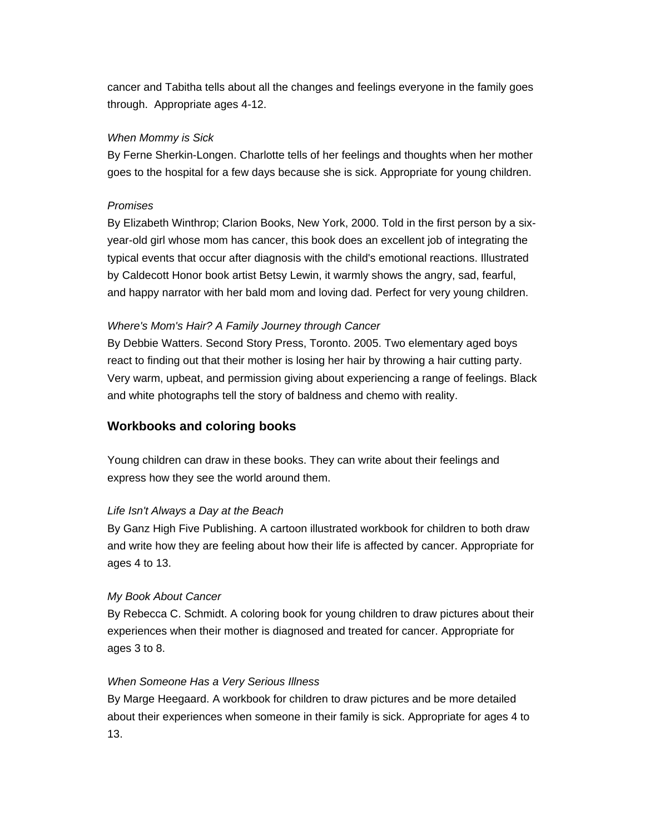cancer and Tabitha tells about all the changes and feelings everyone in the family goes through. Appropriate ages 4-12.

#### *When Mommy is Sick*

By Ferne Sherkin-Longen. Charlotte tells of her feelings and thoughts when her mother goes to the hospital for a few days because she is sick. Appropriate for young children.

### *Promises*

By Elizabeth Winthrop; Clarion Books, New York, 2000. Told in the first person by a sixyear-old girl whose mom has cancer, this book does an excellent job of integrating the typical events that occur after diagnosis with the child's emotional reactions. Illustrated by Caldecott Honor book artist Betsy Lewin, it warmly shows the angry, sad, fearful, and happy narrator with her bald mom and loving dad. Perfect for very young children.

## *Where's Mom's Hair? A Family Journey through Cancer*

By Debbie Watters. Second Story Press, Toronto. 2005. Two elementary aged boys react to finding out that their mother is losing her hair by throwing a hair cutting party. Very warm, upbeat, and permission giving about experiencing a range of feelings. Black and white photographs tell the story of baldness and chemo with reality.

# **Workbooks and coloring books**

Young children can draw in these books. They can write about their feelings and express how they see the world around them.

## *Life Isn't Always a Day at the Beach*

By Ganz High Five Publishing. A cartoon illustrated workbook for children to both draw and write how they are feeling about how their life is affected by cancer. Appropriate for ages 4 to 13.

#### *My Book About Cancer*

By Rebecca C. Schmidt. A coloring book for young children to draw pictures about their experiences when their mother is diagnosed and treated for cancer. Appropriate for ages 3 to 8.

#### *When Someone Has a Very Serious Illness*

By Marge Heegaard. A workbook for children to draw pictures and be more detailed about their experiences when someone in their family is sick. Appropriate for ages 4 to 13.